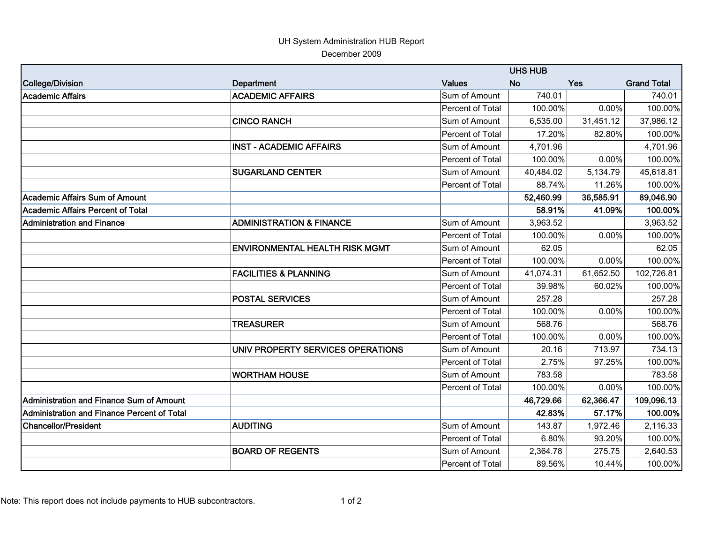## UH System Administration HUB Report December 2009

|                                             |                                       |                         | <b>UHS HUB</b> |            |                    |  |
|---------------------------------------------|---------------------------------------|-------------------------|----------------|------------|--------------------|--|
| College/Division                            | <b>Department</b>                     | <b>Values</b>           | <b>No</b>      | <b>Yes</b> | <b>Grand Total</b> |  |
| Academic Affairs                            | <b>ACADEMIC AFFAIRS</b>               | Sum of Amount           | 740.01         |            | 740.01             |  |
|                                             |                                       | <b>Percent of Total</b> | 100.00%        | 0.00%      | 100.00%            |  |
|                                             | <b>CINCO RANCH</b>                    | Sum of Amount           | 6,535.00       | 31,451.12  | 37,986.12          |  |
|                                             |                                       | Percent of Total        | 17.20%         | 82.80%     | 100.00%            |  |
|                                             | <b>INST - ACADEMIC AFFAIRS</b>        | Sum of Amount           | 4,701.96       |            | 4,701.96           |  |
|                                             |                                       | Percent of Total        | 100.00%        | 0.00%      | 100.00%            |  |
|                                             | <b>SUGARLAND CENTER</b>               | Sum of Amount           | 40,484.02      | 5,134.79   | 45,618.81          |  |
|                                             |                                       | Percent of Total        | 88.74%         | 11.26%     | 100.00%            |  |
| Academic Affairs Sum of Amount              |                                       |                         | 52,460.99      | 36,585.91  | 89,046.90          |  |
| Academic Affairs Percent of Total           |                                       |                         | 58.91%         | 41.09%     | 100.00%            |  |
| <b>Administration and Finance</b>           | <b>ADMINISTRATION &amp; FINANCE</b>   | Sum of Amount           | 3,963.52       |            | 3,963.52           |  |
|                                             |                                       | Percent of Total        | 100.00%        | 0.00%      | 100.00%            |  |
|                                             | <b>ENVIRONMENTAL HEALTH RISK MGMT</b> | Sum of Amount           | 62.05          |            | 62.05              |  |
|                                             |                                       | Percent of Total        | 100.00%        | 0.00%      | 100.00%            |  |
|                                             | <b>FACILITIES &amp; PLANNING</b>      | Sum of Amount           | 41,074.31      | 61,652.50  | 102,726.81         |  |
|                                             |                                       | Percent of Total        | 39.98%         | 60.02%     | 100.00%            |  |
|                                             | <b>POSTAL SERVICES</b>                | Sum of Amount           | 257.28         |            | 257.28             |  |
|                                             |                                       | <b>Percent of Total</b> | 100.00%        | 0.00%      | 100.00%            |  |
|                                             | <b>TREASURER</b>                      | Sum of Amount           | 568.76         |            | 568.76             |  |
|                                             |                                       | Percent of Total        | 100.00%        | 0.00%      | 100.00%            |  |
|                                             | UNIV PROPERTY SERVICES OPERATIONS     | Sum of Amount           | 20.16          | 713.97     | 734.13             |  |
|                                             |                                       | Percent of Total        | 2.75%          | 97.25%     | 100.00%            |  |
|                                             | <b>WORTHAM HOUSE</b>                  | Sum of Amount           | 783.58         |            | 783.58             |  |
|                                             |                                       | Percent of Total        | 100.00%        | 0.00%      | 100.00%            |  |
| Administration and Finance Sum of Amount    |                                       |                         | 46,729.66      | 62,366.47  | 109,096.13         |  |
| Administration and Finance Percent of Total |                                       |                         | 42.83%         | 57.17%     | 100.00%            |  |
| Chancellor/President                        | <b>AUDITING</b>                       | Sum of Amount           | 143.87         | 1,972.46   | 2,116.33           |  |
|                                             |                                       | <b>Percent of Total</b> | 6.80%          | 93.20%     | 100.00%            |  |
|                                             | <b>BOARD OF REGENTS</b>               | Sum of Amount           | 2,364.78       | 275.75     | 2,640.53           |  |
|                                             |                                       | Percent of Total        | 89.56%         | 10.44%     | 100.00%            |  |